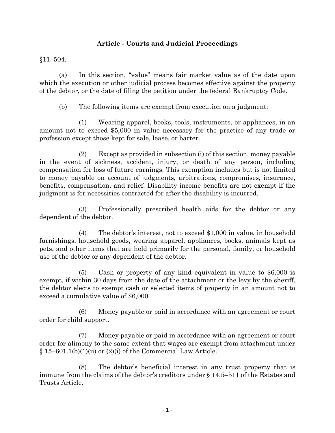## **Article - Courts and Judicial Proceedings**

## §11–504.

(a) In this section, "value" means fair market value as of the date upon which the execution or other judicial process becomes effective against the property of the debtor, or the date of filing the petition under the federal Bankruptcy Code.

(b) The following items are exempt from execution on a judgment:

(1) Wearing apparel, books, tools, instruments, or appliances, in an amount not to exceed \$5,000 in value necessary for the practice of any trade or profession except those kept for sale, lease, or barter.

(2) Except as provided in subsection (i) of this section, money payable in the event of sickness, accident, injury, or death of any person, including compensation for loss of future earnings. This exemption includes but is not limited to money payable on account of judgments, arbitrations, compromises, insurance, benefits, compensation, and relief. Disability income benefits are not exempt if the judgment is for necessities contracted for after the disability is incurred.

(3) Professionally prescribed health aids for the debtor or any dependent of the debtor.

(4) The debtor's interest, not to exceed \$1,000 in value, in household furnishings, household goods, wearing apparel, appliances, books, animals kept as pets, and other items that are held primarily for the personal, family, or household use of the debtor or any dependent of the debtor.

(5) Cash or property of any kind equivalent in value to \$6,000 is exempt, if within 30 days from the date of the attachment or the levy by the sheriff, the debtor elects to exempt cash or selected items of property in an amount not to exceed a cumulative value of \$6,000.

(6) Money payable or paid in accordance with an agreement or court order for child support.

(7) Money payable or paid in accordance with an agreement or court order for alimony to the same extent that wages are exempt from attachment under  $§ 15–601.1(b)(1)(ii)$  or  $(2)(i)$  of the Commercial Law Article.

(8) The debtor's beneficial interest in any trust property that is immune from the claims of the debtor's creditors under § 14.5–511 of the Estates and Trusts Article.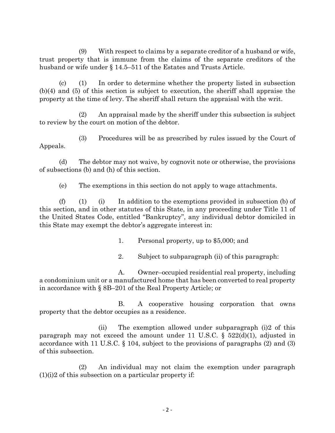(9) With respect to claims by a separate creditor of a husband or wife, trust property that is immune from the claims of the separate creditors of the husband or wife under § 14.5–511 of the Estates and Trusts Article.

(c) (1) In order to determine whether the property listed in subsection (b)(4) and (5) of this section is subject to execution, the sheriff shall appraise the property at the time of levy. The sheriff shall return the appraisal with the writ.

(2) An appraisal made by the sheriff under this subsection is subject to review by the court on motion of the debtor.

(3) Procedures will be as prescribed by rules issued by the Court of Appeals.

(d) The debtor may not waive, by cognovit note or otherwise, the provisions of subsections (b) and (h) of this section.

(e) The exemptions in this section do not apply to wage attachments.

(f) (1) (i) In addition to the exemptions provided in subsection (b) of this section, and in other statutes of this State, in any proceeding under Title 11 of the United States Code, entitled "Bankruptcy", any individual debtor domiciled in this State may exempt the debtor's aggregate interest in:

1. Personal property, up to \$5,000; and

2. Subject to subparagraph (ii) of this paragraph:

A. Owner–occupied residential real property, including a condominium unit or a manufactured home that has been converted to real property in accordance with § 8B–201 of the Real Property Article; or

B. A cooperative housing corporation that owns property that the debtor occupies as a residence.

(ii) The exemption allowed under subparagraph (i)2 of this paragraph may not exceed the amount under 11 U.S.C.  $\S$  522(d)(1), adjusted in accordance with 11 U.S.C. § 104, subject to the provisions of paragraphs (2) and (3) of this subsection.

(2) An individual may not claim the exemption under paragraph  $(1)(i)2$  of this subsection on a particular property if: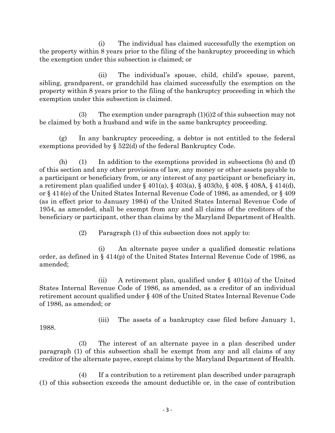(i) The individual has claimed successfully the exemption on the property within 8 years prior to the filing of the bankruptcy proceeding in which the exemption under this subsection is claimed; or

(ii) The individual's spouse, child, child's spouse, parent, sibling, grandparent, or grandchild has claimed successfully the exemption on the property within 8 years prior to the filing of the bankruptcy proceeding in which the exemption under this subsection is claimed.

(3) The exemption under paragraph  $(1)(i)2$  of this subsection may not be claimed by both a husband and wife in the same bankruptcy proceeding.

(g) In any bankruptcy proceeding, a debtor is not entitled to the federal exemptions provided by § 522(d) of the federal Bankruptcy Code.

(h) (1) In addition to the exemptions provided in subsections (b) and (f) of this section and any other provisions of law, any money or other assets payable to a participant or beneficiary from, or any interest of any participant or beneficiary in, a retirement plan qualified under § 401(a), § 403(a), § 403(b), § 408, § 408A, § 414(d), or § 414(e) of the United States Internal Revenue Code of 1986, as amended, or § 409 (as in effect prior to January 1984) of the United States Internal Revenue Code of 1954, as amended, shall be exempt from any and all claims of the creditors of the beneficiary or participant, other than claims by the Maryland Department of Health.

(2) Paragraph (1) of this subsection does not apply to:

(i) An alternate payee under a qualified domestic relations order, as defined in § 414(p) of the United States Internal Revenue Code of 1986, as amended;

(ii) A retirement plan, qualified under  $\S$  401(a) of the United States Internal Revenue Code of 1986, as amended, as a creditor of an individual retirement account qualified under § 408 of the United States Internal Revenue Code of 1986, as amended; or

(iii) The assets of a bankruptcy case filed before January 1,

1988.

(3) The interest of an alternate payee in a plan described under paragraph (1) of this subsection shall be exempt from any and all claims of any creditor of the alternate payee, except claims by the Maryland Department of Health.

(4) If a contribution to a retirement plan described under paragraph (1) of this subsection exceeds the amount deductible or, in the case of contribution